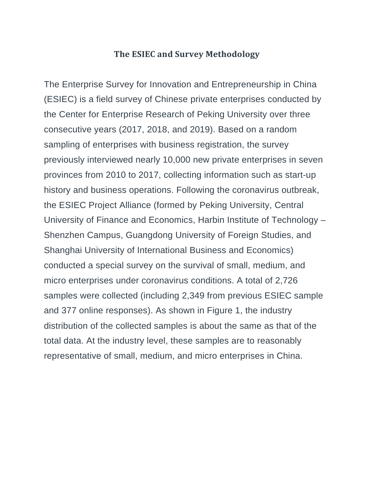## **The ESIEC and Survey Methodology**

The Enterprise Survey for Innovation and Entrepreneurship in China (ESIEC) is a field survey of Chinese private enterprises conducted by the Center for Enterprise Research of Peking University over three consecutive years (2017, 2018, and 2019). Based on a random sampling of enterprises with business registration, the survey previously interviewed nearly 10,000 new private enterprises in seven provinces from 2010 to 2017, collecting information such as start-up history and business operations. Following the coronavirus outbreak, the ESIEC Project Alliance (formed by Peking University, Central University of Finance and Economics, Harbin Institute of Technology – Shenzhen Campus, Guangdong University of Foreign Studies, and Shanghai University of International Business and Economics) conducted a special survey on the survival of small, medium, and micro enterprises under coronavirus conditions. A total of 2,726 samples were collected (including 2,349 from previous ESIEC sample and 377 online responses). As shown in Figure 1, the industry distribution of the collected samples is about the same as that of the total data. At the industry level, these samples are to reasonably representative of small, medium, and micro enterprises in China.